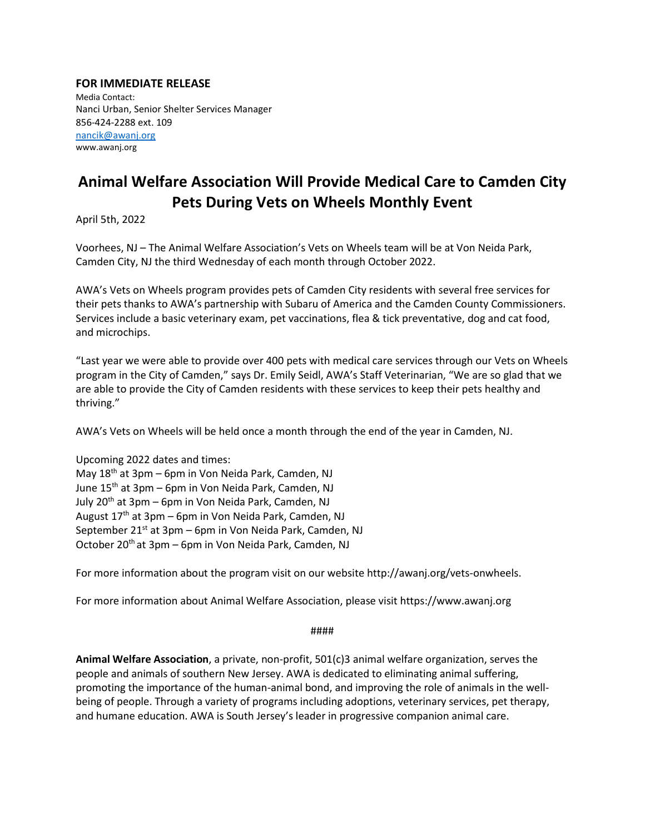## **FOR IMMEDIATE RELEASE**

Media Contact: Nanci Urban, Senior Shelter Services Manager 856-424-2288 ext. 109 [nancik@awanj.org](mailto:nancik@awanj.org) www.awanj.org

## **Animal Welfare Association Will Provide Medical Care to Camden City Pets During Vets on Wheels Monthly Event**

April 5th, 2022

Voorhees, NJ – The Animal Welfare Association's Vets on Wheels team will be at Von Neida Park, Camden City, NJ the third Wednesday of each month through October 2022.

AWA's Vets on Wheels program provides pets of Camden City residents with several free services for their pets thanks to AWA's partnership with Subaru of America and the Camden County Commissioners. Services include a basic veterinary exam, pet vaccinations, flea & tick preventative, dog and cat food, and microchips.

"Last year we were able to provide over 400 pets with medical care services through our Vets on Wheels program in the City of Camden," says Dr. Emily Seidl, AWA's Staff Veterinarian, "We are so glad that we are able to provide the City of Camden residents with these services to keep their pets healthy and thriving."

AWA's Vets on Wheels will be held once a month through the end of the year in Camden, NJ.

Upcoming 2022 dates and times: May 18th at 3pm – 6pm in Von Neida Park, Camden, NJ June 15th at 3pm – 6pm in Von Neida Park, Camden, NJ July 20<sup>th</sup> at 3pm – 6pm in Von Neida Park, Camden, NJ August  $17<sup>th</sup>$  at 3pm – 6pm in Von Neida Park, Camden, NJ September  $21^{st}$  at  $3pm - 6pm$  in Von Neida Park, Camden, NJ October 20<sup>th</sup> at 3pm – 6pm in Von Neida Park, Camden, NJ

For more information about the program visit on our website http://awanj.org/vets-onwheels.

For more information about Animal Welfare Association, please visit https://www.awanj.org

####

**Animal Welfare Association**, a private, non-profit, 501(c)3 animal welfare organization, serves the people and animals of southern New Jersey. AWA is dedicated to eliminating animal suffering, promoting the importance of the human-animal bond, and improving the role of animals in the wellbeing of people. Through a variety of programs including adoptions, veterinary services, pet therapy, and humane education. AWA is South Jersey's leader in progressive companion animal care.